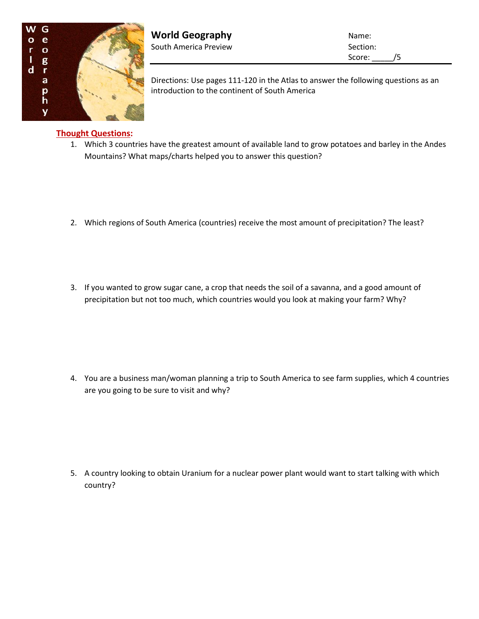

**World Geography Name:** Name: South America Preview Section:

Score: \_\_\_\_\_/5

Directions: Use pages 111-120 in the Atlas to answer the following questions as an introduction to the continent of South America

## **Thought Questions:**

- 1. Which 3 countries have the greatest amount of available land to grow potatoes and barley in the Andes Mountains? What maps/charts helped you to answer this question?
- 2. Which regions of South America (countries) receive the most amount of precipitation? The least?
- 3. If you wanted to grow sugar cane, a crop that needs the soil of a savanna, and a good amount of precipitation but not too much, which countries would you look at making your farm? Why?

4. You are a business man/woman planning a trip to South America to see farm supplies, which 4 countries are you going to be sure to visit and why?

5. A country looking to obtain Uranium for a nuclear power plant would want to start talking with which country?